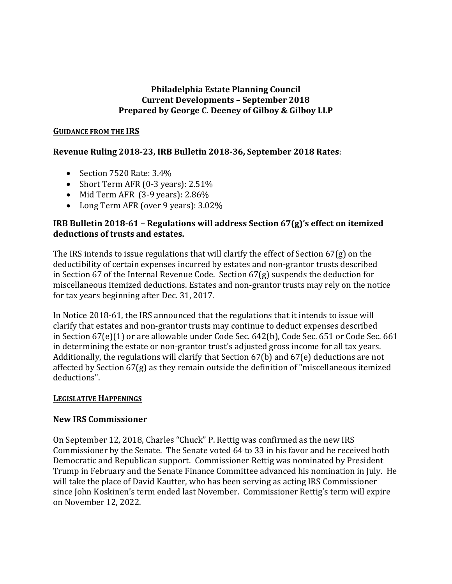### **Philadelphia Estate Planning Council Current Developments – September 2018 Prepared by George C. Deeney of Gilboy & Gilboy LLP**

#### **GUIDANCE FROM THE IRS**

# **Revenue Ruling 2018-23, IRB Bulletin 2018-36, September 2018 Rates**:

- Section 7520 Rate: 3.4%
- Short Term AFR (0-3 years): 2.51%
- Mid Term AFR (3-9 years): 2.86%
- Long Term AFR (over 9 years): 3.02%

## **IRB Bulletin 2018-61 – Regulations will address Section 67(g)'s effect on itemized deductions of trusts and estates.**

The IRS intends to issue regulations that will clarify the effect of Section 67(g) on the deductibility of certain expenses incurred by estates and non-grantor trusts described in Section 67 of the Internal Revenue Code. Section 67(g) suspends the deduction for miscellaneous itemized deductions. Estates and non-grantor trusts may rely on the notice for tax years beginning after Dec. 31, 2017.

In Notice 2018-61, the IRS announced that the regulations that it intends to issue will clarify that estates and non-grantor trusts may continue to deduct expenses described in Section 67(e)(1) or are allowable under Code Sec. 642(b), Code Sec. 651 or Code Sec. 661 in determining the estate or non-grantor trust's adjusted gross income for all tax years. Additionally, the regulations will clarify that Section 67(b) and 67(e) deductions are not affected by Section 67(g) as they remain outside the definition of "miscellaneous itemized deductions".

### **LEGISLATIVE HAPPENINGS**

### **New IRS Commissioner**

On September 12, 2018, Charles "Chuck" P. Rettig was confirmed as the new IRS Commissioner by the Senate. The Senate voted 64 to 33 in his favor and he received both Democratic and Republican support. Commissioner Rettig was nominated by President Trump in February and the Senate Finance Committee advanced his nomination in July. He will take the place of David Kautter, who has been serving as acting IRS Commissioner since John Koskinen's term ended last November. Commissioner Rettig's term will expire on November 12, 2022.